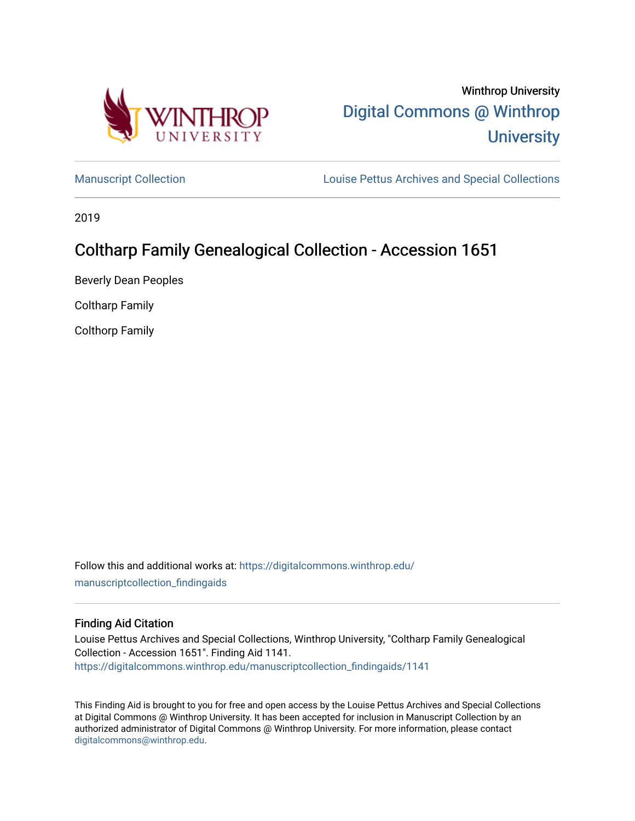

# Winthrop University [Digital Commons @ Winthrop](https://digitalcommons.winthrop.edu/)  **University**

[Manuscript Collection](https://digitalcommons.winthrop.edu/manuscriptcollection_findingaids) **Louise Pettus Archives and Special Collections** 

2019

## Coltharp Family Genealogical Collection - Accession 1651

Beverly Dean Peoples

Coltharp Family

Colthorp Family

Follow this and additional works at: [https://digitalcommons.winthrop.edu/](https://digitalcommons.winthrop.edu/manuscriptcollection_findingaids?utm_source=digitalcommons.winthrop.edu%2Fmanuscriptcollection_findingaids%2F1141&utm_medium=PDF&utm_campaign=PDFCoverPages) [manuscriptcollection\\_findingaids](https://digitalcommons.winthrop.edu/manuscriptcollection_findingaids?utm_source=digitalcommons.winthrop.edu%2Fmanuscriptcollection_findingaids%2F1141&utm_medium=PDF&utm_campaign=PDFCoverPages) 

#### Finding Aid Citation

Louise Pettus Archives and Special Collections, Winthrop University, "Coltharp Family Genealogical Collection - Accession 1651". Finding Aid 1141. [https://digitalcommons.winthrop.edu/manuscriptcollection\\_findingaids/1141](https://digitalcommons.winthrop.edu/manuscriptcollection_findingaids/1141?utm_source=digitalcommons.winthrop.edu%2Fmanuscriptcollection_findingaids%2F1141&utm_medium=PDF&utm_campaign=PDFCoverPages) 

This Finding Aid is brought to you for free and open access by the Louise Pettus Archives and Special Collections at Digital Commons @ Winthrop University. It has been accepted for inclusion in Manuscript Collection by an authorized administrator of Digital Commons @ Winthrop University. For more information, please contact [digitalcommons@winthrop.edu](mailto:digitalcommons@winthrop.edu).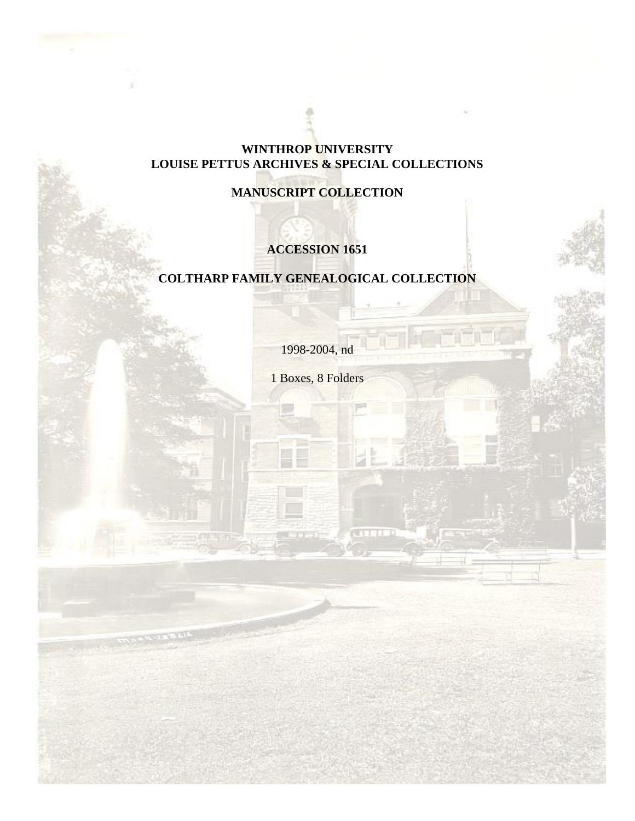#### **WINTHROP UNIVERSITY LOUISE PETTUS ARCHIVES & SPECIAL COLLECTIONS**

## **MANUSCRIPT COLLECTION**

## **ACCESSION 1651**

## **COLTHARP FAMILY GENEALOGICAL COLLECTION**

1998-2004, nd

1 Boxes, 8 Folders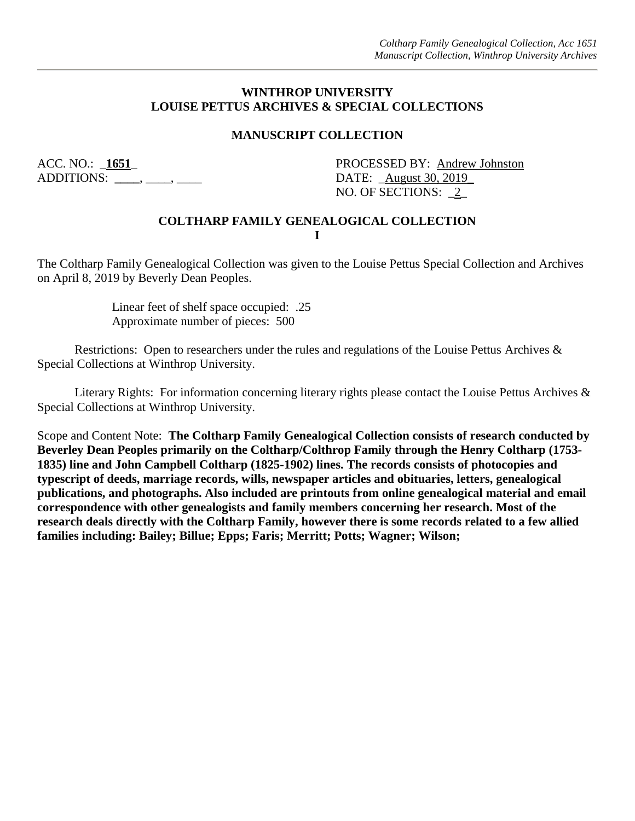#### **WINTHROP UNIVERSITY LOUISE PETTUS ARCHIVES & SPECIAL COLLECTIONS**

#### **MANUSCRIPT COLLECTION**

ADDITIONS: \_\_\_\_\_, \_\_\_\_, \_\_\_\_\_\_ DATE: \_<u>August 30, 2019</u>

ACC. NO.: 1651\_<br>PROCESSED BY: Andrew Johnston NO. OF SECTIONS: \_2\_

#### **COLTHARP FAMILY GENEALOGICAL COLLECTION I**

The Coltharp Family Genealogical Collection was given to the Louise Pettus Special Collection and Archives on April 8, 2019 by Beverly Dean Peoples.

> Linear feet of shelf space occupied: .25 Approximate number of pieces: 500

Restrictions: Open to researchers under the rules and regulations of the Louise Pettus Archives & Special Collections at Winthrop University.

Literary Rights: For information concerning literary rights please contact the Louise Pettus Archives & Special Collections at Winthrop University.

Scope and Content Note: **The Coltharp Family Genealogical Collection consists of research conducted by Beverley Dean Peoples primarily on the Coltharp/Colthrop Family through the Henry Coltharp (1753- 1835) line and John Campbell Coltharp (1825-1902) lines. The records consists of photocopies and typescript of deeds, marriage records, wills, newspaper articles and obituaries, letters, genealogical publications, and photographs. Also included are printouts from online genealogical material and email correspondence with other genealogists and family members concerning her research. Most of the research deals directly with the Coltharp Family, however there is some records related to a few allied families including: Bailey; Billue; Epps; Faris; Merritt; Potts; Wagner; Wilson;**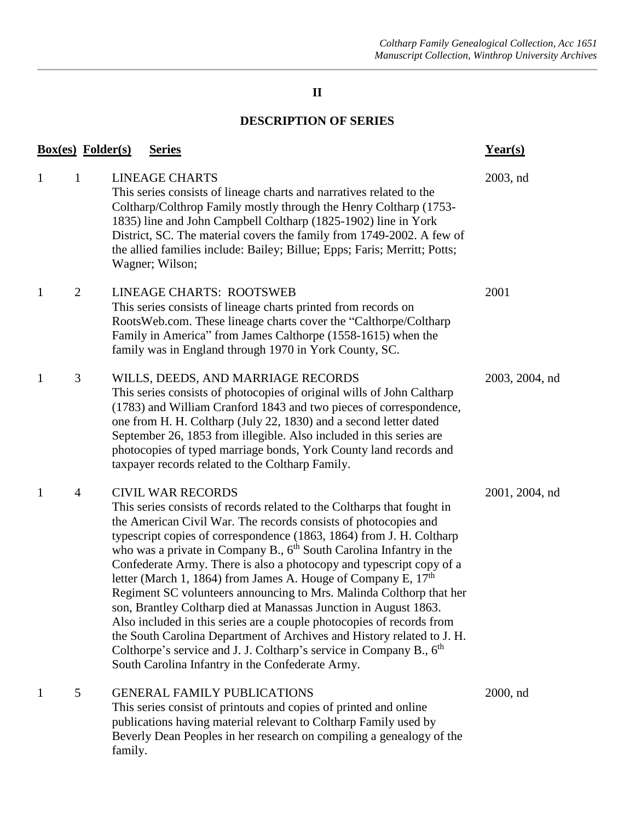## **II**

## **DESCRIPTION OF SERIES**

|              | <b>Box(es)</b> Folder(s) |         | <b>Series</b>                                                                                                                                                                                                                                                                                                                                                                                                                                                                                                                                                                                                                                                                                                                                                                                                                                                                                           | $Year(s)$      |
|--------------|--------------------------|---------|---------------------------------------------------------------------------------------------------------------------------------------------------------------------------------------------------------------------------------------------------------------------------------------------------------------------------------------------------------------------------------------------------------------------------------------------------------------------------------------------------------------------------------------------------------------------------------------------------------------------------------------------------------------------------------------------------------------------------------------------------------------------------------------------------------------------------------------------------------------------------------------------------------|----------------|
| $\mathbf{1}$ | $\mathbf{1}$             |         | <b>LINEAGE CHARTS</b><br>This series consists of lineage charts and narratives related to the<br>Coltharp/Colthrop Family mostly through the Henry Coltharp (1753-<br>1835) line and John Campbell Coltharp (1825-1902) line in York<br>District, SC. The material covers the family from 1749-2002. A few of<br>the allied families include: Bailey; Billue; Epps; Faris; Merritt; Potts;<br>Wagner; Wilson;                                                                                                                                                                                                                                                                                                                                                                                                                                                                                           | 2003, nd       |
| $\mathbf{1}$ | $\overline{2}$           |         | <b>LINEAGE CHARTS: ROOTSWEB</b><br>This series consists of lineage charts printed from records on<br>RootsWeb.com. These lineage charts cover the "Calthorpe/Coltharp"<br>Family in America" from James Calthorpe (1558-1615) when the<br>family was in England through 1970 in York County, SC.                                                                                                                                                                                                                                                                                                                                                                                                                                                                                                                                                                                                        | 2001           |
| $\mathbf{1}$ | 3                        |         | WILLS, DEEDS, AND MARRIAGE RECORDS<br>This series consists of photocopies of original wills of John Caltharp<br>(1783) and William Cranford 1843 and two pieces of correspondence,<br>one from H. H. Coltharp (July 22, 1830) and a second letter dated<br>September 26, 1853 from illegible. Also included in this series are<br>photocopies of typed marriage bonds, York County land records and<br>taxpayer records related to the Coltharp Family.                                                                                                                                                                                                                                                                                                                                                                                                                                                 | 2003, 2004, nd |
| $\mathbf{1}$ | $\overline{4}$           |         | <b>CIVIL WAR RECORDS</b><br>This series consists of records related to the Coltharps that fought in<br>the American Civil War. The records consists of photocopies and<br>typescript copies of correspondence (1863, 1864) from J. H. Coltharp<br>who was a private in Company B., $6th$ South Carolina Infantry in the<br>Confederate Army. There is also a photocopy and typescript copy of a<br>letter (March 1, 1864) from James A. Houge of Company E, $17th$<br>Regiment SC volunteers announcing to Mrs. Malinda Colthorp that her<br>son, Brantley Coltharp died at Manassas Junction in August 1863.<br>Also included in this series are a couple photocopies of records from<br>the South Carolina Department of Archives and History related to J. H.<br>Colthorpe's service and J. J. Coltharp's service in Company B., 6 <sup>th</sup><br>South Carolina Infantry in the Confederate Army. | 2001, 2004, nd |
| $\mathbf{1}$ | 5                        | family. | <b>GENERAL FAMILY PUBLICATIONS</b><br>This series consist of printouts and copies of printed and online<br>publications having material relevant to Coltharp Family used by<br>Beverly Dean Peoples in her research on compiling a genealogy of the                                                                                                                                                                                                                                                                                                                                                                                                                                                                                                                                                                                                                                                     | $2000$ , nd    |